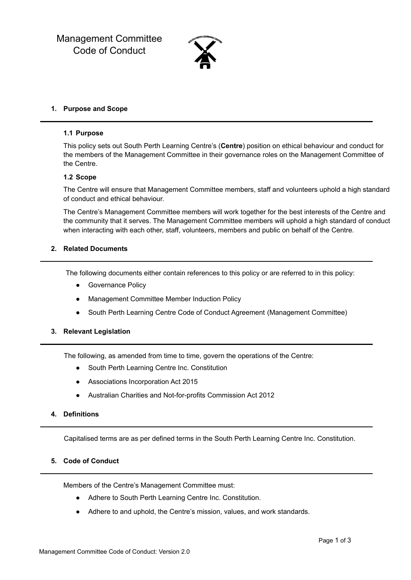Management Committee Code of Conduct



### **1. Purpose and Scope**

#### **1.1 Purpose**

This policy sets out South Perth Learning Centre's (**Centre**) position on ethical behaviour and conduct for the members of the Management Committee in their governance roles on the Management Committee of the Centre.

#### **1.2 Scope**

The Centre will ensure that Management Committee members, staff and volunteers uphold a high standard of conduct and ethical behaviour.

The Centre's Management Committee members will work together for the best interests of the Centre and the community that it serves. The Management Committee members will uphold a high standard of conduct when interacting with each other, staff, volunteers, members and public on behalf of the Centre.

### **2. Related Documents**

The following documents either contain references to this policy or are referred to in this policy:

- Governance Policy
- Management Committee Member Induction Policy
- South Perth Learning Centre Code of Conduct Agreement (Management Committee)
- **3. Relevant Legislation**

The following, as amended from time to time, govern the operations of the Centre:

- South Perth Learning Centre Inc. Constitution
- Associations Incorporation Act 2015
- Australian Charities and Not-for-profits Commission Act 2012
- **4. Definitions**

Capitalised terms are as per defined terms in the South Perth Learning Centre Inc. Constitution.

## **5. Code of Conduct**

Members of the Centre's Management Committee must:

- Adhere to South Perth Learning Centre Inc. Constitution.
- Adhere to and uphold, the Centre's mission, values, and work standards.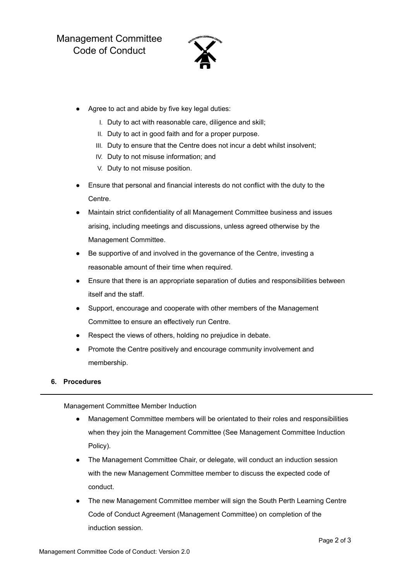Management Committee Code of Conduct



- Agree to act and abide by five key legal duties:
	- I. Duty to act with reasonable care, diligence and skill;
	- II. Duty to act in good faith and for a proper purpose.
	- III. Duty to ensure that the Centre does not incur a debt whilst insolvent;
	- IV. Duty to not misuse information; and
	- V. Duty to not misuse position.
- Ensure that personal and financial interests do not conflict with the duty to the Centre.
- Maintain strict confidentiality of all Management Committee business and issues arising, including meetings and discussions, unless agreed otherwise by the Management Committee.
- Be supportive of and involved in the governance of the Centre, investing a reasonable amount of their time when required.
- Ensure that there is an appropriate separation of duties and responsibilities between itself and the staff.
- Support, encourage and cooperate with other members of the Management Committee to ensure an effectively run Centre.
- Respect the views of others, holding no prejudice in debate.
- Promote the Centre positively and encourage community involvement and membership.

### **6. Procedures**

Management Committee Member Induction

- Management Committee members will be orientated to their roles and responsibilities when they join the Management Committee (See Management Committee Induction Policy).
- The Management Committee Chair, or delegate, will conduct an induction session with the new Management Committee member to discuss the expected code of conduct.
- The new Management Committee member will sign the South Perth Learning Centre Code of Conduct Agreement (Management Committee) on completion of the induction session.